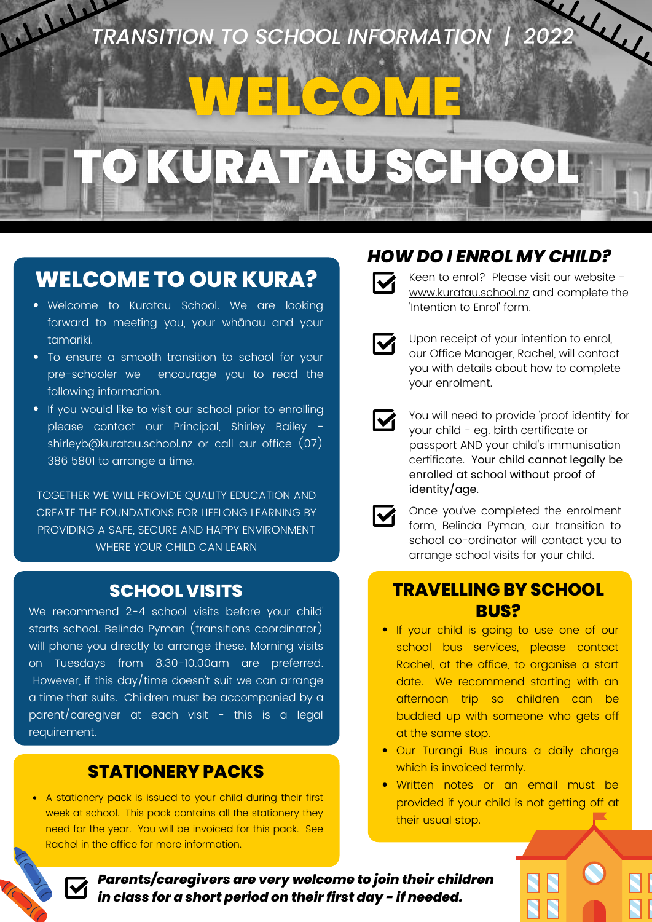

# **WELCOME TO OUR KURA?**

- Welcome to Kuratau School. We are looking forward to meeting you, your whānau and your tamariki.
- To ensure a smooth transition to school for your pre-schooler we encourage you to read the following information.
- If you would like to visit our school prior to enrolling please contact our Principal, Shirley Bailey shirleyb@kuratau.school.nz or call our office (07) 386 5801 to arrange a time.

TOGETHER WE WILL PROVIDE QUALITY EDUCATION AND CREATE THE FOUNDATIONS FOR LIFELONG LEARNING BY PROVIDING A SAFE, SECURE AND HAPPY ENVIRONMENT WHERE YOUR CHILD CAN LEARN

We recommend 2-4 school visits before your child' starts school. Belinda Pyman (transitions coordinator) will phone you directly to arrange these. Morning visits on Tuesdays from 8.30-10.00am are preferred. However, if this day/time doesn't suit we can arrange a time that suits. Children must be accompanied by a parent/caregiver at each visit - this is a legal requirement.

## **STATIONERY PACKS**

A stationery pack is issued to your child during their first week at school. This pack contains all the stationery they need for the year. You will be invoiced for this pack. See Rachel in the office for more information.

## *HOW DO I ENROL MY CHILD?*



Keen to enrol? Please visit our website [www.kuratau.school.nz](https://www.kuratau.school.nz/48/forms/1-intention-of-enrolment-form/submissions/new) and complete the 'Intention to Enrol' form.



Upon receipt of your intention to enrol, our Office Manager, Rachel, will contact you with details about how to complete your enrolment.

 $\overline{\mathsf{M}}$ 

You will need to provide 'proof identity' for your child - eg. birth certificate or passport AND your child's immunisation certificate. Your child cannot legally be enrolled at school without proof of identity/age.



Once you've completed the enrolment form, Belinda Pyman, our transition to school co-ordinator will contact you to arrange school visits for your child.

### **SCHOOL VISITS TRAVELLING BY SCHOOL BUS?**

- **.** If your child is going to use one of our school bus services, please contact Rachel, at the office, to organise a start date. We recommend starting with an afternoon trip so children can be buddied up with someone who gets off at the same stop.
- Our Turangi Bus incurs a daily charge which is invoiced termly.
- Written notes or an email must be provided if your child is not getting off at their usual stop.

*Parents/caregivers are very welcome to join their children in class for a short period on their first day - if needed.*